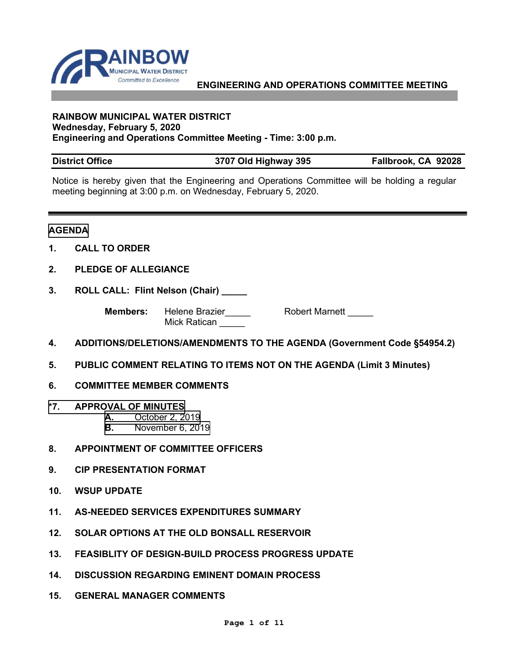

#### **RAINBOW MUNICIPAL WATER DISTRICT Wednesday, February 5, 2020 Engineering and Operations Committee Meeting - Time: 3:00 p.m.**

| <b>District Office</b> | 3707 Old Highway 395 | Fallbrook, CA 92028 |
|------------------------|----------------------|---------------------|
|------------------------|----------------------|---------------------|

Notice is hereby given that the Engineering and Operations Committee will be holding a regular meeting beginning at 3:00 p.m. on Wednesday, February 5, 2020.

### **AGENDA**

- **1. CALL TO ORDER**
- **2. PLEDGE OF ALLEGIANCE**
- **3. ROLL CALL: Flint Nelson (Chair) \_\_\_\_\_**

**Members:** Helene Brazier\_\_\_\_\_ Robert Marnett \_\_\_\_ Mick Ratican

- **4. ADDITIONS/DELETIONS/AMENDMENTS TO THE AGENDA (Government Code §54954.2)**
- **5. PUBLIC COMMENT RELATING TO ITEMS NOT ON THE AGENDA (Limit 3 Minutes)**
- **6. COMMITTEE MEMBER COMMENTS**
- **\*7. APPROVAL OF MINUTES**
	- **A.** [October 2, 2019](#page-2-0)
	- **B.** [November 6, 2019](#page-6-0)
- **8. APPOINTMENT OF COMMITTEE OFFICERS**
- **9. CIP PRESENTATION FORMAT**
- **10. WSUP UPDATE**
- **11. AS-NEEDED SERVICES EXPENDITURES SUMMARY**
- **12. SOLAR OPTIONS AT THE OLD BONSALL RESERVOIR**
- **13. FEASIBLITY OF DESIGN-BUILD PROCESS PROGRESS UPDATE**
- **14. DISCUSSION REGARDING EMINENT DOMAIN PROCESS**
- **15. GENERAL MANAGER COMMENTS**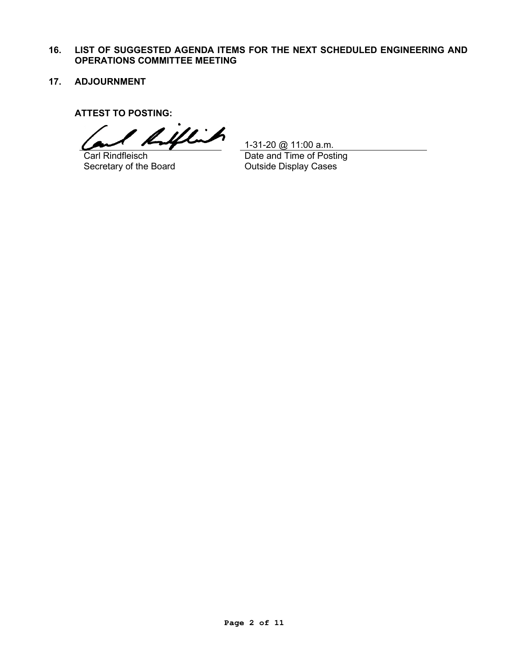- **16. LIST OF SUGGESTED AGENDA ITEMS FOR THE NEXT SCHEDULED ENGINEERING AND OPERATIONS COMMITTEE MEETING**
- **17. ADJOURNMENT**

**ATTEST TO POSTING:**

TTEST TO POSTING:<br>Carl Rindfleisch <u>1-31-20 @ 11:00 a.m.</u><br>Carl Rindfleisch Date and Time of Posting

Carl Rindfleisch Secretary of the Board

1-31-20 @ 11:00 a.m. Date and Time of Posting Outside Display Cases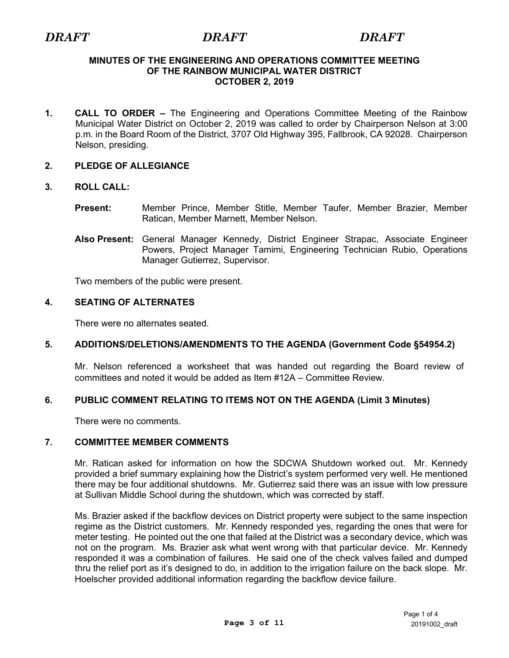#### <span id="page-2-0"></span>**MINUTES OF THE ENGINEERING AND OPERATIONS COMMITTEE MEETING OF THE RAINBOW MUNICIPAL WATER DISTRICT OCTOBER 2, 2019**

**1. CALL TO ORDER –** The Engineering and Operations Committee Meeting of the Rainbow Municipal Water District on October 2, 2019 was called to order by Chairperson Nelson at 3:00 p.m. in the Board Room of the District, 3707 Old Highway 395, Fallbrook, CA 92028. Chairperson Nelson, presiding.

# **2. PLEDGE OF ALLEGIANCE**

# **3. ROLL CALL:**

- **Present:** Member Prince, Member Stitle, Member Taufer, Member Brazier, Member Ratican, Member Marnett, Member Nelson.
- **Also Present:** General Manager Kennedy, District Engineer Strapac, Associate Engineer Powers, Project Manager Tamimi, Engineering Technician Rubio, Operations Manager Gutierrez, Supervisor.

Two members of the public were present.

# **4. SEATING OF ALTERNATES**

There were no alternates seated.

# **5. ADDITIONS/DELETIONS/AMENDMENTS TO THE AGENDA (Government Code §54954.2)**

Mr. Nelson referenced a worksheet that was handed out regarding the Board review of committees and noted it would be added as Item #12A – Committee Review.

# **6. PUBLIC COMMENT RELATING TO ITEMS NOT ON THE AGENDA (Limit 3 Minutes)**

There were no comments.

# **7. COMMITTEE MEMBER COMMENTS**

Mr. Ratican asked for information on how the SDCWA Shutdown worked out. Mr. Kennedy provided a brief summary explaining how the District's system performed very well. He mentioned there may be four additional shutdowns. Mr. Gutierrez said there was an issue with low pressure at Sullivan Middle School during the shutdown, which was corrected by staff.

Ms. Brazier asked if the backflow devices on District property were subject to the same inspection regime as the District customers. Mr. Kennedy responded yes, regarding the ones that were for meter testing. He pointed out the one that failed at the District was a secondary device, which was not on the program. Ms. Brazier ask what went wrong with that particular device. Mr. Kennedy responded it was a combination of failures. He said one of the check valves failed and dumped thru the relief port as it's designed to do, in addition to the irrigation failure on the back slope. Mr. Hoelscher provided additional information regarding the backflow device failure.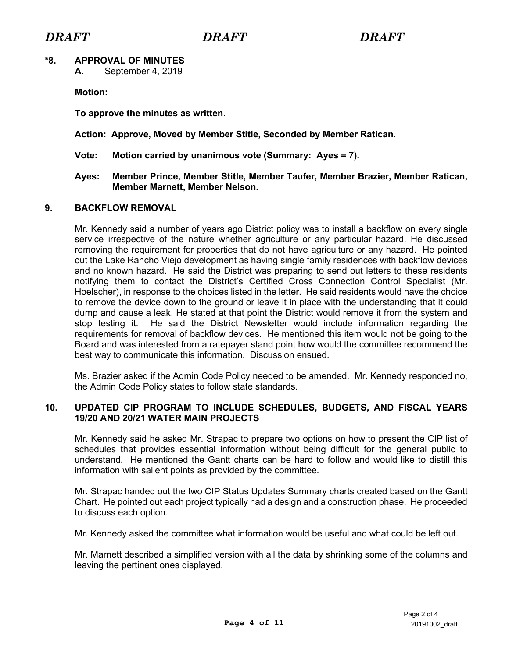# **\*8. APPROVAL OF MINUTES**

**A.** September 4, 2019

**Motion:** 

**To approve the minutes as written.**

## **Action: Approve, Moved by Member Stitle, Seconded by Member Ratican.**

**Vote: Motion carried by unanimous vote (Summary: Ayes = 7).**

#### **Ayes: Member Prince, Member Stitle, Member Taufer, Member Brazier, Member Ratican, Member Marnett, Member Nelson.**

## **9. BACKFLOW REMOVAL**

Mr. Kennedy said a number of years ago District policy was to install a backflow on every single service irrespective of the nature whether agriculture or any particular hazard. He discussed removing the requirement for properties that do not have agriculture or any hazard. He pointed out the Lake Rancho Viejo development as having single family residences with backflow devices and no known hazard. He said the District was preparing to send out letters to these residents notifying them to contact the District's Certified Cross Connection Control Specialist (Mr. Hoelscher), in response to the choices listed in the letter. He said residents would have the choice to remove the device down to the ground or leave it in place with the understanding that it could dump and cause a leak. He stated at that point the District would remove it from the system and stop testing it. He said the District Newsletter would include information regarding the requirements for removal of backflow devices. He mentioned this item would not be going to the Board and was interested from a ratepayer stand point how would the committee recommend the best way to communicate this information. Discussion ensued.

Ms. Brazier asked if the Admin Code Policy needed to be amended. Mr. Kennedy responded no, the Admin Code Policy states to follow state standards.

# **10. UPDATED CIP PROGRAM TO INCLUDE SCHEDULES, BUDGETS, AND FISCAL YEARS 19/20 AND 20/21 WATER MAIN PROJECTS**

Mr. Kennedy said he asked Mr. Strapac to prepare two options on how to present the CIP list of schedules that provides essential information without being difficult for the general public to understand. He mentioned the Gantt charts can be hard to follow and would like to distill this information with salient points as provided by the committee.

Mr. Strapac handed out the two CIP Status Updates Summary charts created based on the Gantt Chart. He pointed out each project typically had a design and a construction phase. He proceeded to discuss each option.

Mr. Kennedy asked the committee what information would be useful and what could be left out.

Mr. Marnett described a simplified version with all the data by shrinking some of the columns and leaving the pertinent ones displayed.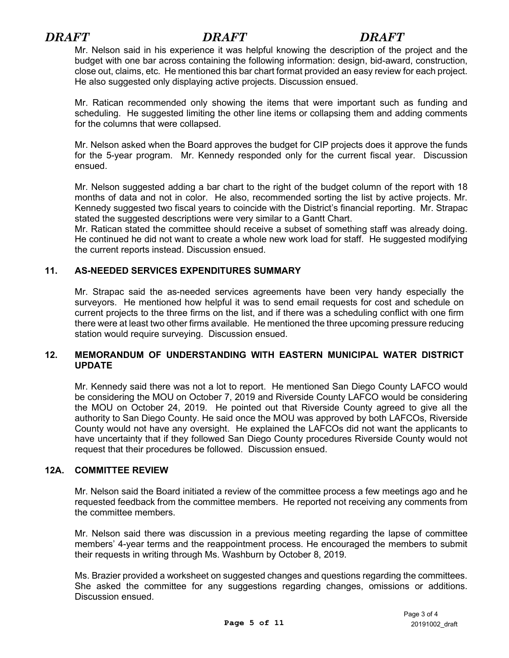Mr. Nelson said in his experience it was helpful knowing the description of the project and the budget with one bar across containing the following information: design, bid-award, construction, close out, claims, etc. He mentioned this bar chart format provided an easy review for each project. He also suggested only displaying active projects. Discussion ensued.

Mr. Ratican recommended only showing the items that were important such as funding and scheduling. He suggested limiting the other line items or collapsing them and adding comments for the columns that were collapsed.

Mr. Nelson asked when the Board approves the budget for CIP projects does it approve the funds for the 5-year program. Mr. Kennedy responded only for the current fiscal year. Discussion ensued.

Mr. Nelson suggested adding a bar chart to the right of the budget column of the report with 18 months of data and not in color. He also, recommended sorting the list by active projects. Mr. Kennedy suggested two fiscal years to coincide with the District's financial reporting. Mr. Strapac stated the suggested descriptions were very similar to a Gantt Chart.

Mr. Ratican stated the committee should receive a subset of something staff was already doing. He continued he did not want to create a whole new work load for staff. He suggested modifying the current reports instead. Discussion ensued.

# **11. AS-NEEDED SERVICES EXPENDITURES SUMMARY**

Mr. Strapac said the as-needed services agreements have been very handy especially the surveyors. He mentioned how helpful it was to send email requests for cost and schedule on current projects to the three firms on the list, and if there was a scheduling conflict with one firm there were at least two other firms available. He mentioned the three upcoming pressure reducing station would require surveying. Discussion ensued.

### **12. MEMORANDUM OF UNDERSTANDING WITH EASTERN MUNICIPAL WATER DISTRICT UPDATE**

Mr. Kennedy said there was not a lot to report. He mentioned San Diego County LAFCO would be considering the MOU on October 7, 2019 and Riverside County LAFCO would be considering the MOU on October 24, 2019. He pointed out that Riverside County agreed to give all the authority to San Diego County. He said once the MOU was approved by both LAFCOs, Riverside County would not have any oversight. He explained the LAFCOs did not want the applicants to have uncertainty that if they followed San Diego County procedures Riverside County would not request that their procedures be followed. Discussion ensued.

# **12A. COMMITTEE REVIEW**

Mr. Nelson said the Board initiated a review of the committee process a few meetings ago and he requested feedback from the committee members. He reported not receiving any comments from the committee members.

Mr. Nelson said there was discussion in a previous meeting regarding the lapse of committee members' 4-year terms and the reappointment process. He encouraged the members to submit their requests in writing through Ms. Washburn by October 8, 2019.

Ms. Brazier provided a worksheet on suggested changes and questions regarding the committees. She asked the committee for any suggestions regarding changes, omissions or additions. Discussion ensued.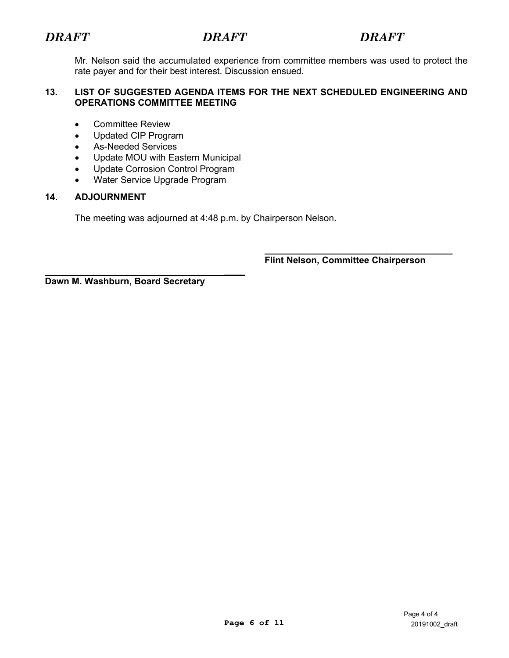Mr. Nelson said the accumulated experience from committee members was used to protect the rate payer and for their best interest. Discussion ensued.

# **13. LIST OF SUGGESTED AGENDA ITEMS FOR THE NEXT SCHEDULED ENGINEERING AND OPERATIONS COMMITTEE MEETING**

- Committee Review
- Updated CIP Program
- As-Needed Services
- Update MOU with Eastern Municipal
- Update Corrosion Control Program
- Water Service Upgrade Program

# **14. ADJOURNMENT**

The meeting was adjourned at 4:48 p.m. by Chairperson Nelson.

*\_\_\_\_*

 **\_\_\_\_\_\_\_\_\_\_\_\_\_\_\_\_\_\_\_\_\_\_\_\_\_\_\_\_\_\_\_\_\_\_\_\_\_ Flint Nelson, Committee Chairperson**

**Dawn M. Washburn, Board Secretary**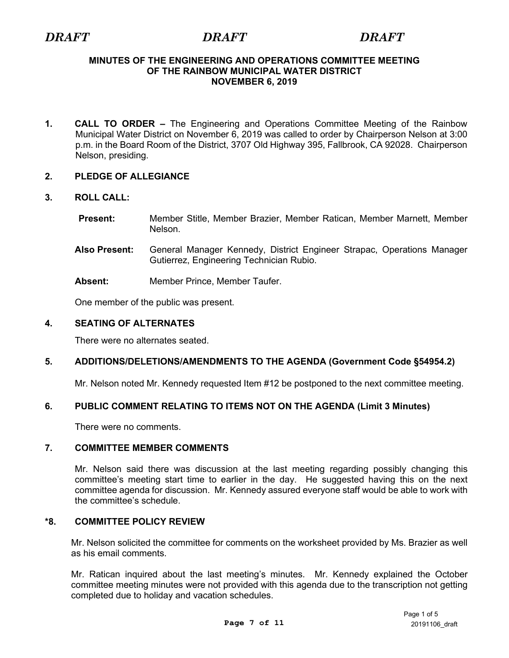#### <span id="page-6-0"></span>**MINUTES OF THE ENGINEERING AND OPERATIONS COMMITTEE MEETING OF THE RAINBOW MUNICIPAL WATER DISTRICT NOVEMBER 6, 2019**

**1. CALL TO ORDER –** The Engineering and Operations Committee Meeting of the Rainbow Municipal Water District on November 6, 2019 was called to order by Chairperson Nelson at 3:00 p.m. in the Board Room of the District, 3707 Old Highway 395, Fallbrook, CA 92028. Chairperson Nelson, presiding.

# **2. PLEDGE OF ALLEGIANCE**

# **3. ROLL CALL:**

- **Present:** Member Stitle, Member Brazier, Member Ratican, Member Marnett, Member Nelson.
- **Also Present:** General Manager Kennedy, District Engineer Strapac, Operations Manager Gutierrez, Engineering Technician Rubio.
- **Absent:** Member Prince, Member Taufer.

One member of the public was present.

# **4. SEATING OF ALTERNATES**

There were no alternates seated.

# **5. ADDITIONS/DELETIONS/AMENDMENTS TO THE AGENDA (Government Code §54954.2)**

Mr. Nelson noted Mr. Kennedy requested Item #12 be postponed to the next committee meeting.

# **6. PUBLIC COMMENT RELATING TO ITEMS NOT ON THE AGENDA (Limit 3 Minutes)**

There were no comments.

# **7. COMMITTEE MEMBER COMMENTS**

Mr. Nelson said there was discussion at the last meeting regarding possibly changing this committee's meeting start time to earlier in the day. He suggested having this on the next committee agenda for discussion. Mr. Kennedy assured everyone staff would be able to work with the committee's schedule.

# **\*8. COMMITTEE POLICY REVIEW**

Mr. Nelson solicited the committee for comments on the worksheet provided by Ms. Brazier as well as his email comments.

Mr. Ratican inquired about the last meeting's minutes. Mr. Kennedy explained the October committee meeting minutes were not provided with this agenda due to the transcription not getting completed due to holiday and vacation schedules.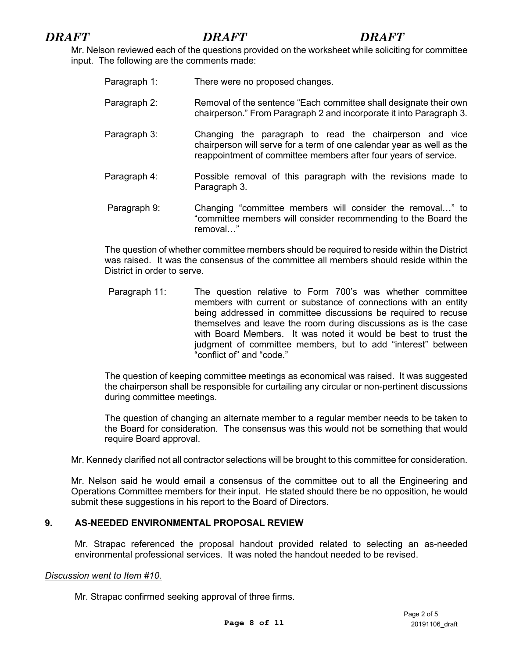Mr. Nelson reviewed each of the questions provided on the worksheet while soliciting for committee input. The following are the comments made:

| Paragraph 1: | There were no proposed changes.                                                                                                                                                                     |  |
|--------------|-----------------------------------------------------------------------------------------------------------------------------------------------------------------------------------------------------|--|
| Paragraph 2: | Removal of the sentence "Each committee shall designate their own<br>chairperson." From Paragraph 2 and incorporate it into Paragraph 3.                                                            |  |
| Paragraph 3: | Changing the paragraph to read the chairperson and vice<br>chairperson will serve for a term of one calendar year as well as the<br>reappointment of committee members after four years of service. |  |
| Paragraph 4: | Possible removal of this paragraph with the revisions made to<br>Paragraph 3.                                                                                                                       |  |
| Paragraph 9: | Changing "committee members will consider the removal" to<br>"committee members will consider recommending to the Board the<br>removal"                                                             |  |

The question of whether committee members should be required to reside within the District was raised. It was the consensus of the committee all members should reside within the District in order to serve.

Paragraph 11: The question relative to Form 700's was whether committee members with current or substance of connections with an entity being addressed in committee discussions be required to recuse themselves and leave the room during discussions as is the case with Board Members. It was noted it would be best to trust the judgment of committee members, but to add "interest" between "conflict of" and "code."

The question of keeping committee meetings as economical was raised. It was suggested the chairperson shall be responsible for curtailing any circular or non-pertinent discussions during committee meetings.

The question of changing an alternate member to a regular member needs to be taken to the Board for consideration. The consensus was this would not be something that would require Board approval.

Mr. Kennedy clarified not all contractor selections will be brought to this committee for consideration.

Mr. Nelson said he would email a consensus of the committee out to all the Engineering and Operations Committee members for their input. He stated should there be no opposition, he would submit these suggestions in his report to the Board of Directors.

# **9. AS-NEEDED ENVIRONMENTAL PROPOSAL REVIEW**

Mr. Strapac referenced the proposal handout provided related to selecting an as-needed environmental professional services. It was noted the handout needed to be revised.

#### *Discussion went to Item #10.*

Mr. Strapac confirmed seeking approval of three firms.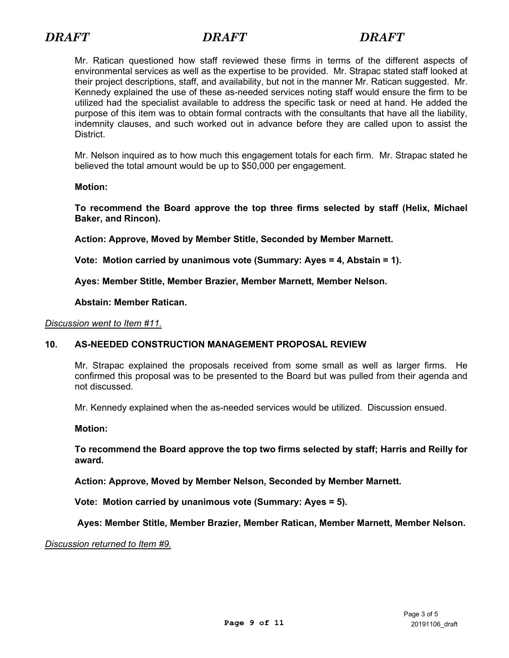Mr. Ratican questioned how staff reviewed these firms in terms of the different aspects of environmental services as well as the expertise to be provided. Mr. Strapac stated staff looked at their project descriptions, staff, and availability, but not in the manner Mr. Ratican suggested. Mr. Kennedy explained the use of these as-needed services noting staff would ensure the firm to be utilized had the specialist available to address the specific task or need at hand. He added the purpose of this item was to obtain formal contracts with the consultants that have all the liability, indemnity clauses, and such worked out in advance before they are called upon to assist the District.

Mr. Nelson inquired as to how much this engagement totals for each firm. Mr. Strapac stated he believed the total amount would be up to \$50,000 per engagement.

### **Motion:**

**To recommend the Board approve the top three firms selected by staff (Helix, Michael Baker, and Rincon).** 

**Action: Approve, Moved by Member Stitle, Seconded by Member Marnett.**

**Vote: Motion carried by unanimous vote (Summary: Ayes = 4, Abstain = 1).**

**Ayes: Member Stitle, Member Brazier, Member Marnett, Member Nelson.**

#### **Abstain: Member Ratican.**

#### *Discussion went to Item #11.*

# **10. AS-NEEDED CONSTRUCTION MANAGEMENT PROPOSAL REVIEW**

Mr. Strapac explained the proposals received from some small as well as larger firms. He confirmed this proposal was to be presented to the Board but was pulled from their agenda and not discussed.

Mr. Kennedy explained when the as-needed services would be utilized. Discussion ensued.

**Motion:** 

**To recommend the Board approve the top two firms selected by staff; Harris and Reilly for award.**

**Action: Approve, Moved by Member Nelson, Seconded by Member Marnett.**

**Vote: Motion carried by unanimous vote (Summary: Ayes = 5).**

**Ayes: Member Stitle, Member Brazier, Member Ratican, Member Marnett, Member Nelson.**

*Discussion returned to Item #9.*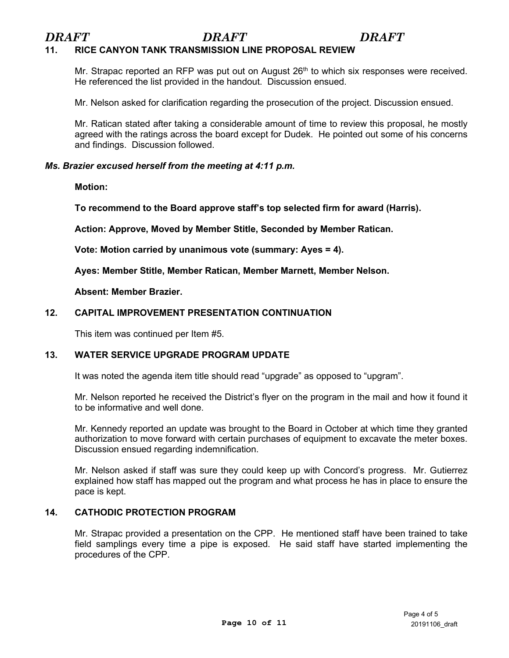# **11. RICE CANYON TANK TRANSMISSION LINE PROPOSAL REVIEW**

Mr. Strapac reported an RFP was put out on August  $26<sup>th</sup>$  to which six responses were received. He referenced the list provided in the handout. Discussion ensued.

Mr. Nelson asked for clarification regarding the prosecution of the project. Discussion ensued.

Mr. Ratican stated after taking a considerable amount of time to review this proposal, he mostly agreed with the ratings across the board except for Dudek. He pointed out some of his concerns and findings. Discussion followed.

### *Ms. Brazier excused herself from the meeting at 4:11 p.m.*

**Motion:** 

**To recommend to the Board approve staff's top selected firm for award (Harris).**

**Action: Approve, Moved by Member Stitle, Seconded by Member Ratican.**

**Vote: Motion carried by unanimous vote (summary: Ayes = 4).**

**Ayes: Member Stitle, Member Ratican, Member Marnett, Member Nelson.**

#### **Absent: Member Brazier.**

# **12. CAPITAL IMPROVEMENT PRESENTATION CONTINUATION**

This item was continued per Item #5.

# **13. WATER SERVICE UPGRADE PROGRAM UPDATE**

It was noted the agenda item title should read "upgrade" as opposed to "upgram".

Mr. Nelson reported he received the District's flyer on the program in the mail and how it found it to be informative and well done.

Mr. Kennedy reported an update was brought to the Board in October at which time they granted authorization to move forward with certain purchases of equipment to excavate the meter boxes. Discussion ensued regarding indemnification.

Mr. Nelson asked if staff was sure they could keep up with Concord's progress. Mr. Gutierrez explained how staff has mapped out the program and what process he has in place to ensure the pace is kept.

# **14. CATHODIC PROTECTION PROGRAM**

Mr. Strapac provided a presentation on the CPP. He mentioned staff have been trained to take field samplings every time a pipe is exposed. He said staff have started implementing the procedures of the CPP.